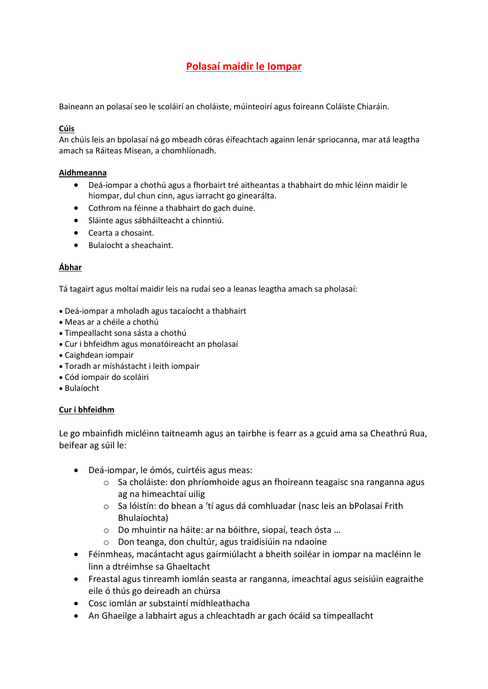# **Polasaí maidir le Iompar**

Baineann an polasaí seo le scoláirí an choláiste, múinteoirí agus foireann Coláiste Chiaráin.

#### **Cúis**

An chúis leis an bpolasaí ná go mbeadh córas éifeachtach againn lenár spriocanna, mar atá leagtha amach sa Ráiteas Misean, a chomhlíonadh.

#### **Aidhmeanna**

- Deá-iompar a chothú agus a fhorbairt tré aitheantas a thabhairt do mhic léinn maidir le hiompar, dul chun cinn, agus iarracht go ginearálta.
- Cothrom na féinne a thabhairt do gach duine.
- Sláinte agus sábháilteacht a chinntiú.
- Cearta a chosaint.
- Bulaíocht a sheachaint.

#### **Ábhar**

Tá tagairt agus moltaí maidir leis na rudaí seo a leanas leagtha amach sa pholasaí:

- Deá-iompar a mholadh agus tacaíocht a thabhairt
- Meas ar a chéile a chothú
- Timpeallacht sona sásta a chothú
- Cur i bhfeidhm agus monatóireacht an pholasaí
- Caighdean iompair
- Toradh ar míshástacht i leith iompair
- Cód iompair do scoláiri
- Bulaíocht

#### **Cur i bhfeidhm**

Le go mbainfidh micléinn taitneamh agus an tairbhe is fearr as a gcuid ama sa Cheathrú Rua, beifear ag súil le:

- Deá-iompar, le ómós, cuirtéis agus meas:
	- o Sa choláiste: don phríomhoide agus an fhoireann teagaisc sna ranganna agus ag na himeachtaí uilig
	- o Sa lóistín: do bhean a 'tí agus dá comhluadar (nasc leis an bPolasaí Frith Bhulaíochta)
	- o Do mhuintir na háite: ar na bóithre, siopaí, teach ósta …
	- o Don teanga, don chultúr, agus traidisiúin na ndaoine
- Féinmheas, macántacht agus gairmiúlacht a bheith soiléar in iompar na macléinn le linn a dtréimhse sa Ghaeltacht
- Freastal agus tinreamh iomlán seasta ar ranganna, imeachtaí agus seisiúin eagraithe eile ó thús go deireadh an chúrsa
- Cosc iomlán ar substaintí mídhleathacha
- An Ghaeilge a labhairt agus a chleachtadh ar gach ócáid sa timpeallacht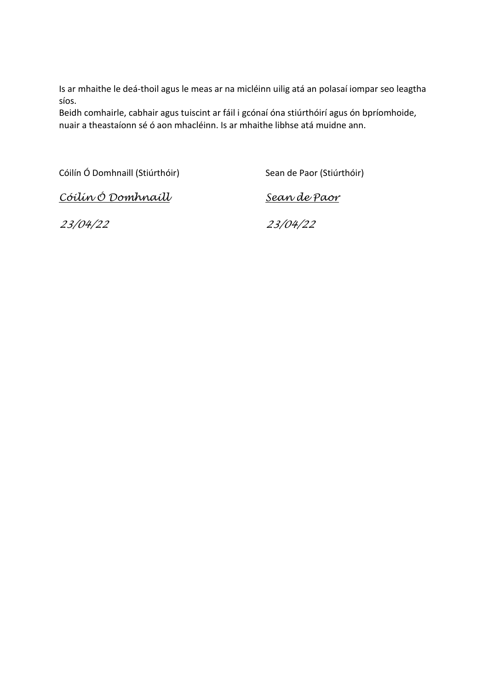Is ar mhaithe le deá-thoil agus le meas ar na micléinn uilig atá an polasaí iompar seo leagtha síos.

Beidh comhairle, cabhair agus tuiscint ar fáil i gcónaí óna stiúrthóirí agus ón bpríomhoide, nuair a theastaíonn sé ó aon mhacléinn. Is ar mhaithe libhse atá muidne ann.

Cóilín Ó Domhnaill (Stiúrthóir) Sean de Paor (Stiúrthóir)

*Cóilín Ó Domhnaill Sean de Paor*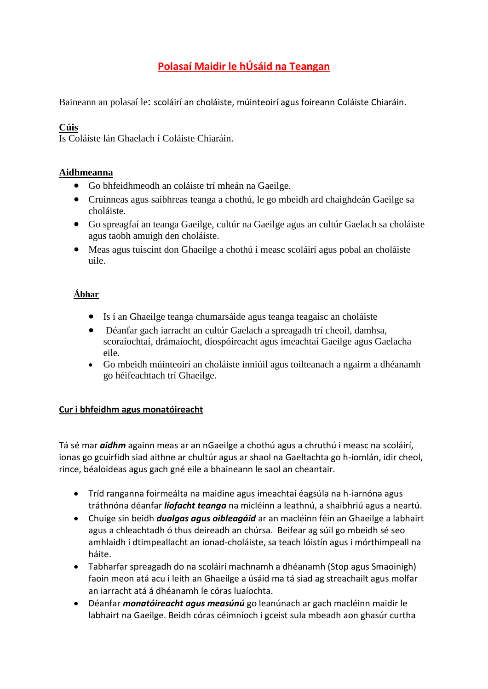## **Polasaí Maidir le hÚsáid na Teangan**

Baineann an polasaí le: scoláirí an choláiste, múinteoirí agus foireann Coláiste Chiaráin.

### **Cúis**

Is Coláiste lán Ghaelach í Coláiste Chiaráin.

#### **Aidhmeanna**

- Go bhfeidhmeodh an coláiste trí mheán na Gaeilge.
- Cruinneas agus saibhreas teanga a chothú, le go mbeidh ard chaighdeán Gaeilge sa choláiste.
- Go spreagfaí an teanga Gaeilge, cultúr na Gaeilge agus an cultúr Gaelach sa choláiste agus taobh amuigh den choláiste.
- Meas agus tuiscint don Ghaeilge a chothú i measc scoláirí agus pobal an choláiste uile.

## **Ábhar**

- Is í an Ghaeilge teanga chumarsáide agus teanga teagaisc an choláiste
- Déanfar gach iarracht an cultúr Gaelach a spreagadh trí cheoil, damhsa, scoraíochtaí, drámaíocht, díospóireacht agus imeachtaí Gaeilge agus Gaelacha eile.
- Go mbeidh múinteoirí an choláiste inniúil agus toilteanach a ngairm a dhéanamh go héifeachtach trí Ghaeilge.

#### **Cur i bhfeidhm agus monatóireacht**

Tá sé mar *aidhm* againn meas ar an nGaeilge a chothú agus a chruthú i measc na scoláirí, ionas go gcuirfidh siad aithne ar chultúr agus ar shaol na Gaeltachta go h-iomlán, idir cheol, rince, béaloideas agus gach gné eile a bhaineann le saol an cheantair.

- Tríd ranganna foirmeálta na maidine agus imeachtaí éagsúla na h-iarnóna agus tráthnóna déanfar *líofacht teanga* na micléinn a leathnú, a shaibhriú agus a neartú.
- Chuige sin beidh *dualgas agus oibleagáid* ar an macléinn féin an Ghaeilge a labhairt agus a chleachtadh ó thus deireadh an chúrsa. Beifear ag súil go mbeidh sé seo amhlaidh i dtimpeallacht an ionad-choláiste, sa teach lóistín agus i mórthimpeall na háite.
- Tabharfar spreagadh do na scoláirí machnamh a dhéanamh (Stop agus Smaoinigh) faoin meon atá acu i leith an Ghaeilge a úsáid ma tá siad ag streachailt agus molfar an iarracht atá á dhéanamh le córas luaíochta.
- Déanfar *monatóireacht agus measúnú* go leanúnach ar gach macléinn maidir le labhairt na Gaeilge. Beidh córas céimníoch i gceist sula mbeadh aon ghasúr curtha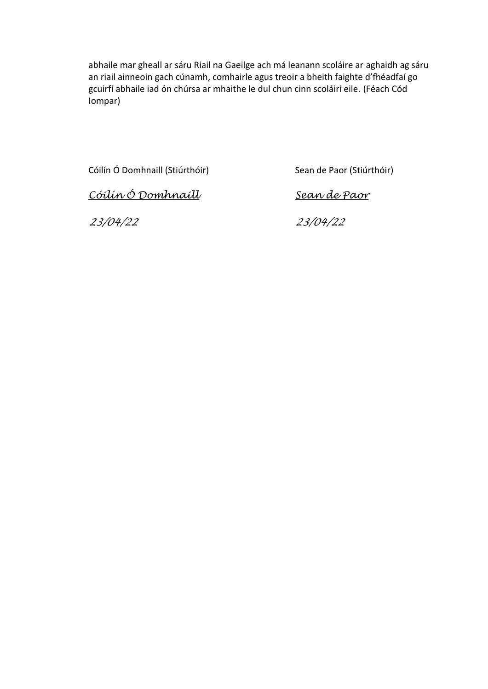abhaile mar gheall ar sáru Riail na Gaeilge ach má leanann scoláire ar aghaidh ag sáru an riail ainneoin gach cúnamh, comhairle agus treoir a bheith faighte d'fhéadfaí go gcuirfí abhaile iad ón chúrsa ar mhaithe le dul chun cinn scoláirí eile. (Féach Cód Iompar)

Cóilín Ó Domhnaill (Stiúrthóir) Sean de Paor (Stiúrthóir)

*Cóilín Ó Domhnaill Sean de Paor*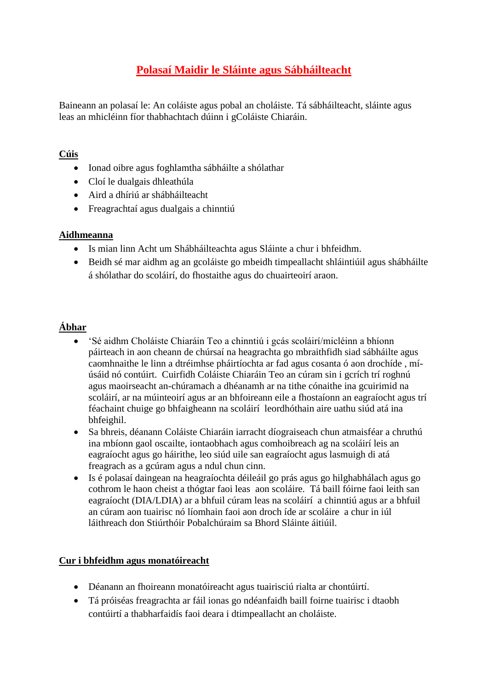# **Polasaí Maidir le Sláinte agus Sábháilteacht**

Baineann an polasaí le: An coláiste agus pobal an choláiste. Tá sábháilteacht, sláinte agus leas an mhicléinn fíor thabhachtach dúinn i gColáiste Chiaráin.

### **Cúis**

- Ionad oibre agus foghlamtha sábháilte a shólathar
- Cloí le dualgais dhleathúla
- Aird a dhíriú ar shábháilteacht
- Freagrachtaí agus dualgais a chinntiú

### **Aidhmeanna**

- Is mian linn Acht um Shábháilteachta agus Sláinte a chur i bhfeidhm.
- Beidh sé mar aidhm ag an gcoláiste go mbeidh timpeallacht shláintiúil agus shábháilte á shólathar do scoláirí, do fhostaithe agus do chuairteoirí araon.

## **Ábhar**

- 'Sé aidhm Choláiste Chiaráin Teo a chinntiú i gcás scoláirí/micléinn a bhíonn páirteach in aon cheann de chúrsaí na heagrachta go mbraithfidh siad sábháilte agus caomhnaithe le linn a dtréimhse pháirtíochta ar fad agus cosanta ó aon drochíde , míúsáid nó contúirt. Cuirfidh Coláiste Chiaráin Teo an cúram sin i gcrích trí roghnú agus maoirseacht an-chúramach a dhéanamh ar na tithe cónaithe ina gcuirimid na scoláirí, ar na múinteoirí agus ar an bhfoireann eile a fhostaíonn an eagraíocht agus trí féachaint chuige go bhfaigheann na scoláirí leordhóthain aire uathu siúd atá ina bhfeighil.
- Sa bhreis, déanann Coláiste Chiaráin iarracht díograiseach chun atmaisféar a chruthú ina mbíonn gaol oscailte, iontaobhach agus comhoibreach ag na scoláirí leis an eagraíocht agus go háirithe, leo siúd uile san eagraíocht agus lasmuigh di atá freagrach as a gcúram agus a ndul chun cinn.
- Is é polasaí daingean na heagraíochta déileáil go prás agus go hilghabhálach agus go cothrom le haon cheist a thógtar faoi leas aon scoláire. Tá baill fóirne faoi leith san eagraíocht (DIA/LDIA) ar a bhfuil cúram leas na scoláirí a chinntiú agus ar a bhfuil an cúram aon tuairisc nó líomhain faoi aon droch íde ar scoláire a chur in iúl láithreach don Stiúrthóir Pobalchúraim sa Bhord Sláinte áitiúil.

## **Cur i bhfeidhm agus monatóireacht**

- Déanann an fhoireann monatóireacht agus tuairisciú rialta ar chontúirtí.
- Tá próiséas freagrachta ar fáil ionas go ndéanfaidh baill foirne tuairisc i dtaobh contúirtí a thabharfaidís faoi deara i dtimpeallacht an choláiste.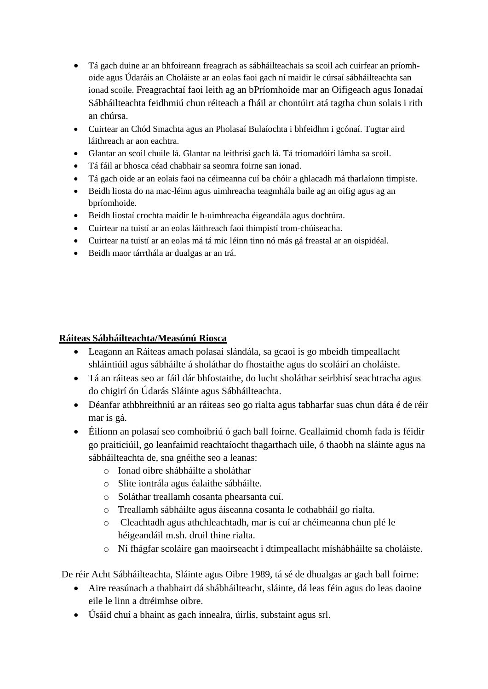- Tá gach duine ar an bhfoireann freagrach as sábháilteachais sa scoil ach cuirfear an príomhoide agus Údaráis an Choláiste ar an eolas faoi gach ní maidir le cúrsaí sábháilteachta san ionad scoile. Freagrachtaí faoi leith ag an bPríomhoide mar an Oifigeach agus Ionadaí Sábháilteachta feidhmiú chun réiteach a fháil ar chontúirt atá tagtha chun solais i rith an chúrsa.
- Cuirtear an Chód Smachta agus an Pholasaí Bulaíochta i bhfeidhm i gcónaí. Tugtar aird láithreach ar aon eachtra.
- Glantar an scoil chuile lá. Glantar na leithrisí gach lá. Tá triomadóirí lámha sa scoil.
- Tá fáil ar bhosca céad chabhair sa seomra foirne san ionad.
- Tá gach oide ar an eolais faoi na céimeanna cuí ba chóir a ghlacadh má tharlaíonn timpiste.
- Beidh liosta do na mac-léinn agus uimhreacha teagmhála baile ag an oifig agus ag an bpríomhoide.
- Beidh liostaí crochta maidir le h-uimhreacha éigeandála agus dochtúra.
- Cuirtear na tuistí ar an eolas láithreach faoi thimpistí trom-chúiseacha.
- Cuirtear na tuistí ar an eolas má tá mic léinn tinn nó más gá freastal ar an oispidéal.
- Beidh maor tárrthála ar dualgas ar an trá.

#### **Ráiteas Sábháilteachta/Measúnú Riosca**

- Leagann an Ráiteas amach polasaí slándála, sa gcaoi is go mbeidh timpeallacht shláintiúil agus sábháilte á sholáthar do fhostaithe agus do scoláirí an choláiste.
- Tá an ráiteas seo ar fáil dár bhfostaithe, do lucht sholáthar seirbhisí seachtracha agus do chigirí ón Údarás Sláinte agus Sábháilteachta.
- Déanfar athbhreithniú ar an ráiteas seo go rialta agus tabharfar suas chun dáta é de réir mar is gá.
- Éilíonn an polasaí seo comhoibriú ó gach ball foirne. Geallaimid chomh fada is féidir go praiticiúil, go leanfaimid reachtaíocht thagarthach uile, ó thaobh na sláinte agus na sábháilteachta de, sna gnéithe seo a leanas:
	- o Ionad oibre shábháilte a sholáthar
	- o Slite iontrála agus éalaithe sábháilte.
	- o Soláthar treallamh cosanta phearsanta cuí.
	- o Treallamh sábháilte agus áiseanna cosanta le cothabháil go rialta.
	- o Cleachtadh agus athchleachtadh, mar is cuí ar chéimeanna chun plé le héigeandáil m.sh. druil thine rialta.
	- o Ní fhágfar scoláire gan maoirseacht i dtimpeallacht míshábháilte sa choláiste.

De réir Acht Sábháilteachta, Sláinte agus Oibre 1989, tá sé de dhualgas ar gach ball foirne:

- Aire reasúnach a thabhairt dá shábháilteacht, sláinte, dá leas féin agus do leas daoine eile le linn a dtréimhse oibre.
- Úsáid chuí a bhaint as gach innealra, úirlis, substaint agus srl.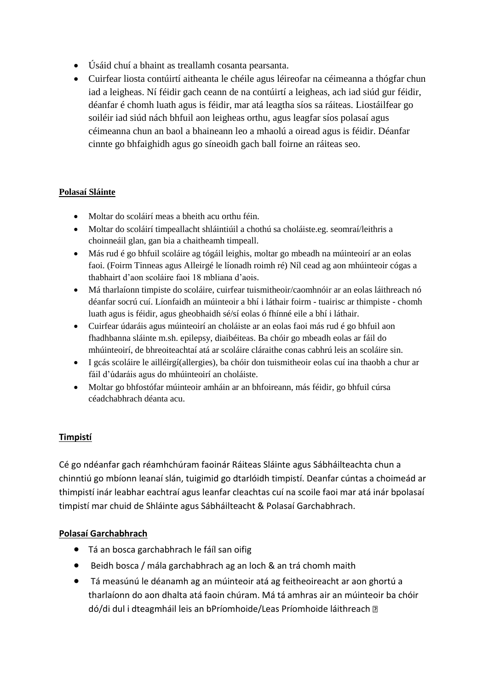- Úsáid chuí a bhaint as treallamh cosanta pearsanta.
- Cuirfear liosta contúirtí aitheanta le chéile agus léireofar na céimeanna a thógfar chun iad a leigheas. Ní féidir gach ceann de na contúirtí a leigheas, ach iad siúd gur féidir, déanfar é chomh luath agus is féidir, mar atá leagtha síos sa ráiteas. Liostáilfear go soiléir iad siúd nách bhfuil aon leigheas orthu, agus leagfar síos polasaí agus céimeanna chun an baol a bhaineann leo a mhaolú a oiread agus is féidir. Déanfar cinnte go bhfaighidh agus go síneoidh gach ball foirne an ráiteas seo.

#### **Polasaí Sláinte**

- Moltar do scoláirí meas a bheith acu orthu féin.
- Moltar do scoláirí timpeallacht shláintiúil a chothú sa choláiste.eg. seomraí/leithris a choinneáil glan, gan bia a chaitheamh timpeall.
- Más rud é go bhfuil scoláire ag tógáil leighis, moltar go mbeadh na múinteoirí ar an eolas faoi. (Foirm Tinneas agus Alleirgé le líonadh roimh ré) Níl cead ag aon mhúinteoir cógas a thabhairt d'aon scoláire faoi 18 mbliana d'aois.
- Má tharlaíonn timpiste do scoláire, cuirfear tuismitheoir/caomhnóir ar an eolas láithreach nó déanfar socrú cuí. Líonfaidh an múinteoir a bhí i láthair foirm - tuairisc ar thimpiste - chomh luath agus is féidir, agus gheobhaidh sé/sí eolas ó fhínné eile a bhí i láthair.
- Cuirfear údaráis agus múinteoirí an choláiste ar an eolas faoi más rud é go bhfuil aon fhadhbanna sláinte m.sh. epilepsy, diaibéiteas. Ba chóir go mbeadh eolas ar fáil do mhúinteoirí, de bhreoiteachtaí atá ar scoláire cláraithe conas cabhrú leis an scoláire sin.
- I gcás scoláire le ailléirgí(allergies), ba chóir don tuismitheoir eolas cuí ina thaobh a chur ar fáil d'údaráis agus do mhúinteoirí an choláiste.
- Moltar go bhfostófar múinteoir amháin ar an bhfoireann, más féidir, go bhfuil cúrsa céadchabhrach déanta acu.

## **Timpistí**

Cé go ndéanfar gach réamhchúram faoinár Ráiteas Sláinte agus Sábháilteachta chun a chinntiú go mbíonn leanaí slán, tuigimid go dtarlóidh timpistí. Deanfar cúntas a choimeád ar thimpistí inár leabhar eachtraí agus leanfar cleachtas cuí na scoile faoi mar atá inár bpolasaí timpistí mar chuid de Shláinte agus Sábháilteacht & Polasaí Garchabhrach.

#### **Polasaí Garchabhrach**

- Tá an bosca garchabhrach le fáíl san oifig
- Beidh bosca / mála garchabhrach ag an loch & an trá chomh maith
- Tá measúnú le déanamh ag an múinteoir atá ag feitheoireacht ar aon ghortú a tharlaíonn do aon dhalta atá faoin chúram. Má tá amhras air an múinteoir ba chóir dó/di dul i dteagmháil leis an bPríomhoide/Leas Príomhoide láithreach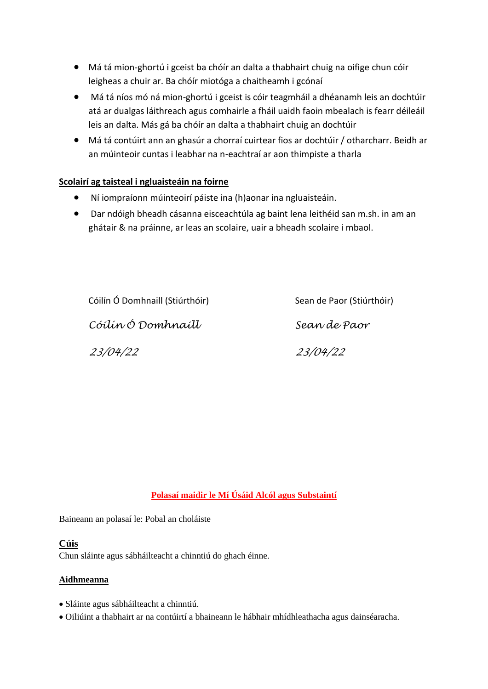- Má tá mion-ghortú i gceist ba chóír an dalta a thabhairt chuig na oifige chun cóir leigheas a chuir ar. Ba chóír miotóga a chaitheamh i gcónaí
- Má tá níos mó ná mion-ghortú i gceist is cóir teagmháil a dhéanamh leis an dochtúir atá ar dualgas láithreach agus comhairle a fháil uaidh faoin mbealach is fearr déileáil leis an dalta. Más gá ba chóír an dalta a thabhairt chuig an dochtúir
- Má tá contúirt ann an ghasúr a chorraí cuirtear fios ar dochtúir / otharcharr. Beidh ar an múinteoir cuntas i leabhar na n-eachtraí ar aon thimpiste a tharla

#### **Scolairí ag taisteal i ngluaisteáin na foirne**

- Ní iompraíonn múinteoirí páiste ina (h)aonar ina ngluaisteáin.
- Dar ndóigh bheadh cásanna eisceachtúla ag baint lena leithéid san m.sh. in am an ghátair & na práinne, ar leas an scolaire, uair a bheadh scolaire i mbaol.

Cóilín Ó Domhnaill (Stiúrthóir) Sean de Paor (Stiúrthóir) *Cóilín Ó Domhnaill Sean de Paor 23/04/22 23/04/22*

## **Polasaí maidir le Mí Úsáid Alcól agus Substaintí**

Baineann an polasaí le: Pobal an choláiste

#### **Cúis**

Chun sláinte agus sábháilteacht a chinntiú do ghach éinne.

#### **Aidhmeanna**

- Sláinte agus sábháilteacht a chinntiú.
- Oiliúint a thabhairt ar na contúirtí a bhaineann le hábhair mhídhleathacha agus dainséaracha.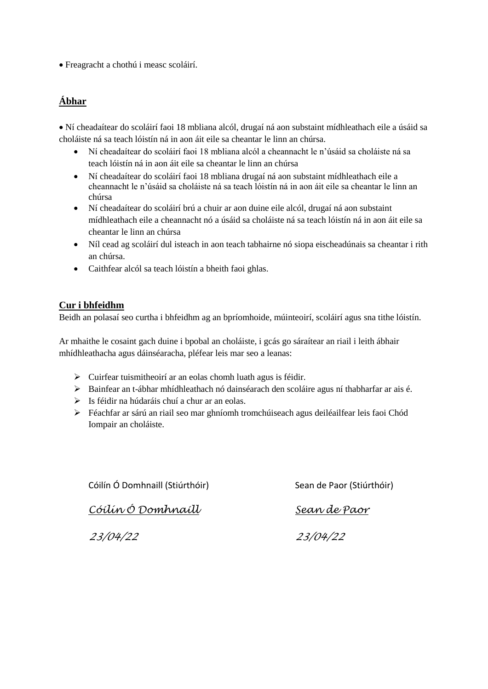Freagracht a chothú i measc scoláirí.

# **Ábhar**

 Ní cheadaítear do scoláirí faoi 18 mbliana alcól, drugaí ná aon substaint mídhleathach eile a úsáid sa choláiste ná sa teach lóistín ná in aon áit eile sa cheantar le linn an chúrsa.

- Ní cheadaítear do scoláirí faoi 18 mbliana alcól a cheannacht le n'úsáid sa choláiste ná sa teach lóistín ná in aon áit eile sa cheantar le linn an chúrsa
- Ní cheadaítear do scoláirí faoi 18 mbliana drugaí ná aon substaint mídhleathach eile a cheannacht le n'úsáid sa choláiste ná sa teach lóistín ná in aon áit eile sa cheantar le linn an chúrsa
- Ní cheadaítear do scoláirí brú a chuir ar aon duine eile alcól, drugaí ná aon substaint mídhleathach eile a cheannacht nó a úsáid sa choláiste ná sa teach lóistín ná in aon áit eile sa cheantar le linn an chúrsa
- Níl cead ag scoláirí dul isteach in aon teach tabhairne nó siopa eischeadúnais sa cheantar i rith an chúrsa.
- Caithfear alcól sa teach lóistín a bheith faoi ghlas.

#### **Cur i bhfeidhm**

Beidh an polasaí seo curtha i bhfeidhm ag an bpríomhoide, múinteoirí, scoláirí agus sna tithe lóistín.

Ar mhaithe le cosaint gach duine i bpobal an choláiste, i gcás go sáraítear an riail i leith ábhair mhídhleathacha agus dáinséaracha, pléfear leis mar seo a leanas:

- $\triangleright$  Cuirfear tuismitheoirí ar an eolas chomh luath agus is féidir.
- Bainfear an t-ábhar mhídhleathach nó dainséarach den scoláire agus ní thabharfar ar ais é.
- $\triangleright$  Is féidir na húdaráis chuí a chur ar an eolas.
- Féachfar ar sárú an riail seo mar ghníomh tromchúiseach agus deiléailfear leis faoi Chód Iompair an choláiste.

Cóilín Ó Domhnaill (Stiúrthóir) Sean de Paor (Stiúrthóir)

*Cóilín Ó Domhnaill Sean de Paor*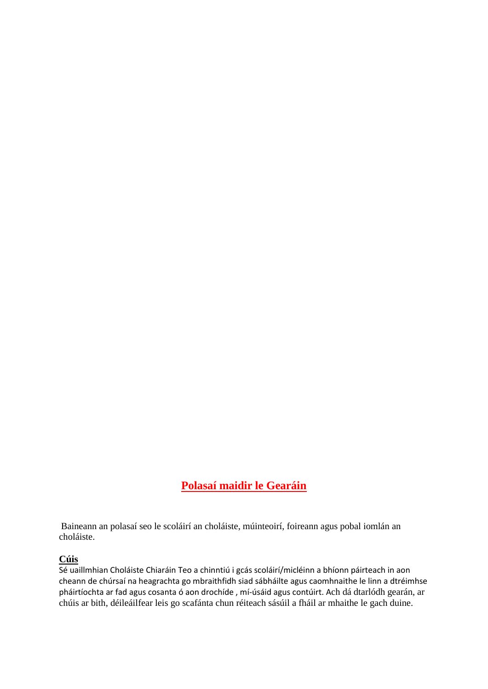# **Polasaí maidir le Gearáin**

Baineann an polasaí seo le scoláirí an choláiste, múinteoirí, foireann agus pobal iomlán an choláiste.

#### **Cúis**

Sé uaillmhian Choláiste Chiaráin Teo a chinntiú i gcás scoláirí/micléinn a bhíonn páirteach in aon cheann de chúrsaí na heagrachta go mbraithfidh siad sábháilte agus caomhnaithe le linn a dtréimhse pháirtíochta ar fad agus cosanta ó aon drochíde , mí-úsáid agus contúirt. Ach dá dtarlódh gearán, ar chúis ar bith, déileáilfear leis go scafánta chun réiteach sásúil a fháil ar mhaithe le gach duine.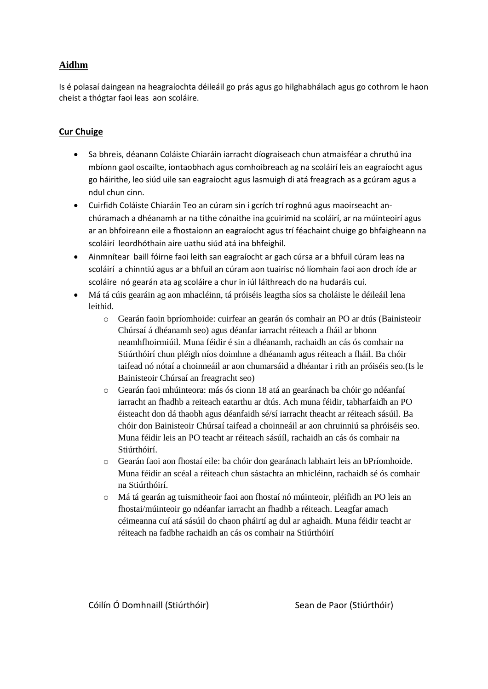#### **Aidhm**

Is é polasaí daingean na heagraíochta déileáil go prás agus go hilghabhálach agus go cothrom le haon cheist a thógtar faoi leas aon scoláire.

#### **Cur Chuige**

- Sa bhreis, déanann Coláiste Chiaráin iarracht díograiseach chun atmaisféar a chruthú ina mbíonn gaol oscailte, iontaobhach agus comhoibreach ag na scoláirí leis an eagraíocht agus go háirithe, leo siúd uile san eagraíocht agus lasmuigh di atá freagrach as a gcúram agus a ndul chun cinn.
- Cuirfidh Coláiste Chiaráin Teo an cúram sin i gcrích trí roghnú agus maoirseacht anchúramach a dhéanamh ar na tithe cónaithe ina gcuirimid na scoláirí, ar na múinteoirí agus ar an bhfoireann eile a fhostaíonn an eagraíocht agus trí féachaint chuige go bhfaigheann na scoláirí leordhóthain aire uathu siúd atá ina bhfeighil.
- Ainmnítear baill fóirne faoi leith san eagraíocht ar gach cúrsa ar a bhfuil cúram leas na scoláirí a chinntiú agus ar a bhfuil an cúram aon tuairisc nó líomhain faoi aon droch íde ar scoláire nó gearán ata ag scoláire a chur in iúl láithreach do na hudaráis cuí.
- Má tá cúis gearáin ag aon mhacléinn, tá próiséis leagtha síos sa choláiste le déileáil lena leithid.
	- o Gearán faoin bpríomhoide: cuirfear an gearán ós comhair an PO ar dtús (Bainisteoir Chúrsaí á dhéanamh seo) agus déanfar iarracht réiteach a fháil ar bhonn neamhfhoirmiúil. Muna féidir é sin a dhéanamh, rachaidh an cás ós comhair na Stiúrthóirí chun pléigh níos doimhne a dhéanamh agus réiteach a fháil. Ba chóir taifead nó nótaí a choinneáil ar aon chumarsáid a dhéantar i rith an próiséis seo.(Is le Bainisteoir Chúrsaí an freagracht seo)
	- o Gearán faoi mhúinteora: más ós cionn 18 atá an gearánach ba chóir go ndéanfaí iarracht an fhadhb a reiteach eatarthu ar dtús. Ach muna féidir, tabharfaidh an PO éisteacht don dá thaobh agus déanfaidh sé/sí iarracht theacht ar réiteach sásúil. Ba chóir don Bainisteoir Chúrsaí taifead a choinneáil ar aon chruinniú sa phróiséis seo. Muna féidir leis an PO teacht ar réiteach sásúíl, rachaidh an cás ós comhair na Stiúrthóirí.
	- o Gearán faoi aon fhostaí eile: ba chóir don gearánach labhairt leis an bPríomhoide. Muna féidir an scéal a réiteach chun sástachta an mhicléinn, rachaidh sé ós comhair na Stiúrthóirí.
	- o Má tá gearán ag tuismitheoir faoi aon fhostaí nó múinteoir, pléifidh an PO leis an fhostai/múinteoir go ndéanfar iarracht an fhadhb a réiteach. Leagfar amach céimeanna cuí atá sásúil do chaon pháirtí ag dul ar aghaidh. Muna féidir teacht ar réiteach na fadbhe rachaidh an cás os comhair na Stiúrthóirí

Cóilín Ó Domhnaill (Stiúrthóir) Sean de Paor (Stiúrthóir)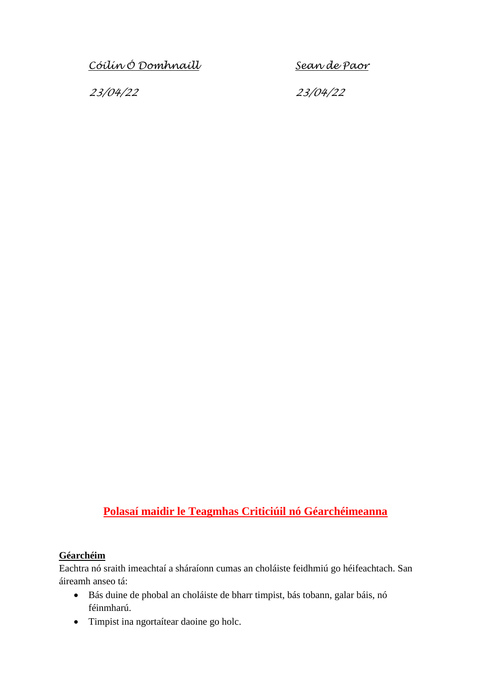*Cóilín Ó Domhnaill Sean de Paor*

*23/04/22 23/04/22*

# **Polasaí maidir le Teagmhas Criticiúil nó Géarchéimeanna**

#### **Géarchéim**

Eachtra nó sraith imeachtaí a sháraíonn cumas an choláiste feidhmiú go héifeachtach. San áireamh anseo tá:

- Bás duine de phobal an choláiste de bharr timpist, bás tobann, galar báis, nó féinmharú.
- Timpist ina ngortaítear daoine go holc.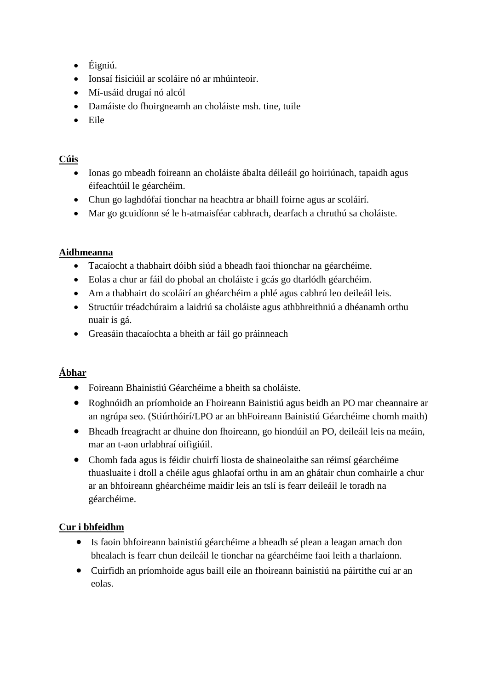- $\bullet$  Éigniú.
- Ionsaí fisiciúil ar scoláire nó ar mhúinteoir.
- Mí-usáid drugaí nó alcól
- Damáiste do fhoirgneamh an choláiste msh. tine, tuile
- Eile

### **Cúis**

- Ionas go mbeadh foireann an choláiste ábalta déileáil go hoiriúnach, tapaidh agus éifeachtúil le géarchéim.
- Chun go laghdófaí tionchar na heachtra ar bhaill foirne agus ar scoláirí.
- Mar go gcuidíonn sé le h-atmaisféar cabhrach, dearfach a chruthú sa choláiste.

### **Aidhmeanna**

- Tacaíocht a thabhairt dóibh siúd a bheadh faoi thionchar na géarchéime.
- Eolas a chur ar fáil do phobal an choláiste i gcás go dtarlódh géarchéim.
- Am a thabhairt do scoláirí an ghéarchéim a phlé agus cabhrú leo deileáil leis.
- Structúir tréadchúraim a laidriú sa choláiste agus athbhreithniú a dhéanamh orthu nuair is gá.
- Greasáin thacaíochta a bheith ar fáil go práinneach

## **Ábhar**

- Foireann Bhainistiú Géarchéime a bheith sa choláiste.
- Roghnóidh an príomhoide an Fhoireann Bainistiú agus beidh an PO mar cheannaire ar an ngrúpa seo. (Stiúrthóirí/LPO ar an bhFoireann Bainistiú Géarchéime chomh maith)
- Bheadh freagracht ar dhuine don fhoireann, go hiondúil an PO, deileáil leis na meáin, mar an t-aon urlabhraí oifigiúil.
- Chomh fada agus is féidir chuirfí liosta de shaineolaithe san réimsí géarchéime thuasluaite i dtoll a chéile agus ghlaofaí orthu in am an ghátair chun comhairle a chur ar an bhfoireann ghéarchéime maidir leis an tslí is fearr deileáil le toradh na géarchéime.

## **Cur i bhfeidhm**

- Is faoin bhfoireann bainistiú géarchéime a bheadh sé plean a leagan amach don bhealach is fearr chun deileáil le tionchar na géarchéime faoi leith a tharlaíonn.
- Cuirfidh an príomhoide agus baill eile an fhoireann bainistiú na páirtithe cuí ar an eolas.